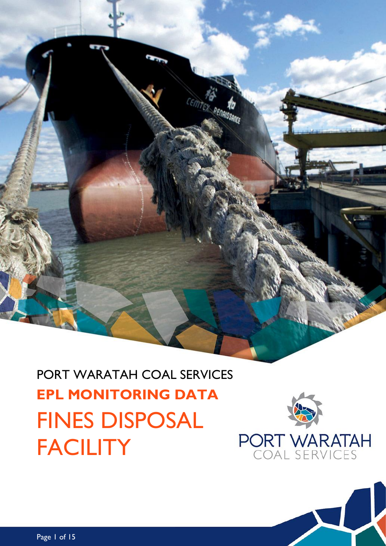# PORT WARATAH COAL SERVICES **EPL MONITORING DATA** FINES DISPOSAL **FACILITY**



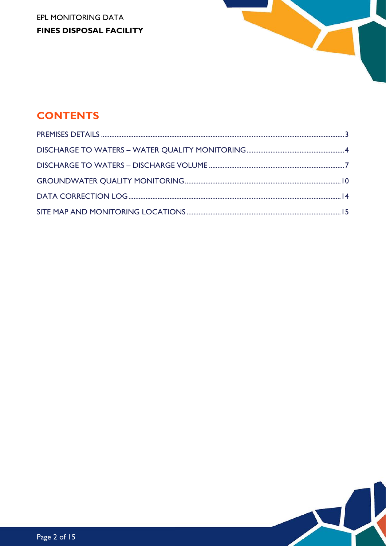EPL MONITORING DATA **FINES DISPOSAL FACILITY** 



# **CONTENTS**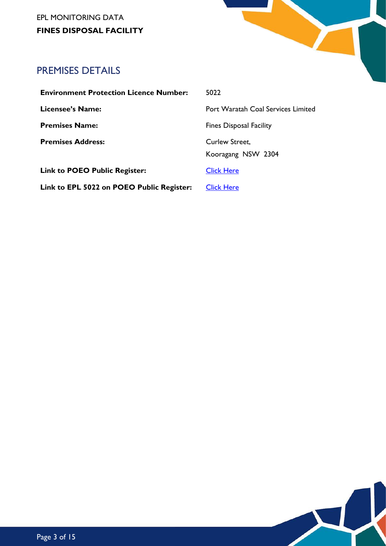EPL MONITORING DATA **FINES DISPOSAL FACILITY**



 $\blacktriangleright$ 

# <span id="page-2-0"></span>PREMISES DETAILS

| <b>Environment Protection Licence Number:</b> | 5022                    |
|-----------------------------------------------|-------------------------|
| <b>Licensee's Name:</b>                       | Port Warat              |
| <b>Premises Name:</b>                         | <b>Fines Dispc</b>      |
| <b>Premises Address:</b>                      | Curlew Str<br>Kooragang |
| <b>Link to POEO Public Register:</b>          | <b>Click Here</b>       |
| Link to EPL 5022 on POEO Public Register:     | <b>Click Here</b>       |

**Licensee's Name:** Port Waratah Coal Services Limited **Premises Name:** Fines Disposal Facility Pew Street, oragang NSW 2304 <u>k Here</u>

Page 3 of 15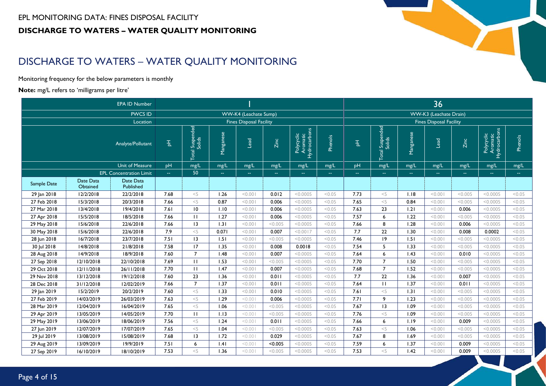#### EPL MONITORING DATA: FINES DISPOSAL FACILITY **DISCHARGE TO WATERS – WATER QUALITY MONITORING**

# DISCHARGE TO WATERS – WATER QUALITY MONITORING

Monitoring frequency for the below parameters is monthly

#### **Note:** mg/L refers to 'milligrams per litre'

<span id="page-3-0"></span>

|             |                       | <b>EPA ID Number</b>           |               |                                 |               |                                |                         |                                        |         | 36            |                                          |               |                                |               |                                        |               |  |
|-------------|-----------------------|--------------------------------|---------------|---------------------------------|---------------|--------------------------------|-------------------------|----------------------------------------|---------|---------------|------------------------------------------|---------------|--------------------------------|---------------|----------------------------------------|---------------|--|
|             |                       | <b>PWCS ID</b>                 |               |                                 |               | <b>WW-K4</b> (Leachate Sump)   |                         |                                        |         |               |                                          |               | WW-K3 (Leachate Drain)         |               |                                        |               |  |
|             |                       | Location                       |               |                                 |               | <b>Fines Disposal Facility</b> |                         |                                        |         |               |                                          |               | <b>Fines Disposal Facility</b> |               |                                        |               |  |
|             |                       | Analyte/Pollutant              | 固             | Suspended<br>Solids<br><b>a</b> | Manganese     | Lead                           | Zinc                    | Polycyclic<br>Aromatic<br>Hydrocarbons | Phenols | 핑             | Suspended<br> <br>Solids<br>$ q_0 $<br>⋍ | Manganese     | Lead                           | Zinc          | Polycyclic<br>Aromatic<br>Hydrocarbons | Phenols       |  |
|             |                       | <b>Unit of Measure</b>         | pH            | mg/L                            | mg/L          | mg/L                           | mg/L                    | mg/L                                   | mg/L    | pH            | mg/L                                     | mg/L          | mg/L                           | mg/L          | mg/L                                   | mg/L          |  |
|             |                       | <b>EPL Concentration Limit</b> | $\sim$ $\sim$ | 50                              | $\rightarrow$ | $\sim$ $\sim$                  | $\mathbb{Z} \mathbb{Z}$ | $\mathbb{Z}^2$                         | $\sim$  | $\sim$ $\sim$ | $\sim$ $\sim$                            | $\sim$ $\sim$ | $\sim$ $\sim$                  | $\sim$ $\sim$ | $\sim$ $\sim$                          | $\sim$ $\sim$ |  |
| Sample Date | Date Data<br>Obtained | Date Data<br>Published         |               |                                 |               |                                |                         |                                        |         |               |                                          |               |                                |               |                                        |               |  |
| 29 Jan 2018 | 12/2/2018             | 22/2/2018                      | 7.68          | $<$ 5                           | 1.26          | < 0.001                        | 0.012                   | < 0.0005                               | < 0.05  | 7.73          | $<$ 5                                    | 1.18          | < 0.001                        | < 0.005       | < 0.0005                               | < 0.05        |  |
| 27 Feb 2018 | 15/3/2018             | 20/3/2018                      | 7.66          | $<$ 5                           | 0.87          | < 0.001                        | 0.006                   | < 0.0005                               | < 0.05  | 7.65          | $<$ 5                                    | 0.84          | 100.00                         | < 0.005       | < 0.0005                               | < 0.05        |  |
| 27 Mar 2018 | 13/4/2018             | 19/4/2018                      | 7.61          | 10                              | 1.10          | 100.00                         | 0.006                   | < 0.0005                               | < 0.05  | 7.63          | 23                                       | 1.21          | 100.00                         | 0.006         | < 0.0005                               | < 0.05        |  |
| 27 Apr 2018 | 15/5/2018             | 18/5/2018                      | 7.66          | $\mathbf{H}$                    | 1.27          | < 0.001                        | 0.006                   | < 0.0005                               | < 0.05  | 7.57          | 6                                        | 1.22          | 100.00                         | < 0.005       | < 0.0005                               | < 0.05        |  |
| 29 May 2018 | 15/6/2018             | 22/6/2018                      | 7.66          | 3                               | 1.31          | < 0.001                        | < 0.005                 | < 0.0005                               | < 0.05  | 7.66          | 8                                        | 1.28          | < 0.001                        | 0.006         | < 0.0005                               | < 0.05        |  |
| 30 May 2018 | 15/6/2018             | 22/6/2018                      | 7.9           | $<$ 5                           | 0.071         | < 0.001                        | 0.007                   | < 0.0017                               | < 0.05  | 7.7           | 22                                       | 1.30          | < 0.001                        | 0.008         | 0.0002                                 | < 0.05        |  |
| 28 Jun 2018 | 16/7/2018             | 23/7/2018                      | 7.51          | 13                              | 1.51          | < 0.001                        | < 0.005                 | < 0.0005                               | < 0.05  | 7.46          | 9                                        | 1.51          | 100.00                         | < 0.005       | < 0.0005                               | < 0.05        |  |
| 30 Jul 2018 | 14/8/2018             | 21/8/2018                      | 7.58          | 17                              | 1.35          | < 0.001                        | 0.008                   | 0.0018                                 | < 0.05  | 7.54          | 5                                        | 1.33          | 100.00                         | < 0.005       | < 0.0005                               | < 0.05        |  |
| 28 Aug 2018 | 14/9/2018             | 18/9/2018                      | 7.60          | $\overline{7}$                  | 1.48          | < 0.001                        | 0.007                   | < 0.0005                               | < 0.05  | 7.64          | 6                                        | 1.43          | < 0.001                        | 0.010         | < 0.0005                               | < 0.05        |  |
| 27 Sep 2018 | 12/10/2018            | 22/10/2018                     | 7.69          | $\mathbf{H}$                    | 1.53          | < 0.001                        | < 0.005                 | < 0.0005                               | < 0.05  | 7.70          | $\overline{7}$                           | 1.50          | 100.00                         | < 0.005       | < 0.0005                               | < 0.05        |  |
| 29 Oct 2018 | 12/11/2018            | 26/11/2018                     | 7.70          | $\mathbf{H}$                    | 1.47          | < 0.001                        | 0.007                   | < 0.0005                               | < 0.05  | 7.68          | $\overline{7}$                           | 1.52          | 100.00                         | < 0.005       | < 0.0005                               | < 0.05        |  |
| 29 Nov 2018 | 13/12/2018            | 19/12/2018                     | 7.60          | 23                              | 1.36          | < 0.001                        | 0.011                   | < 0.0005                               | < 0.05  | 7.7           | 22                                       | 1.36          | 100.00                         | 0.007         | < 0.0005                               | < 0.05        |  |
| 28 Dec 2018 | 31/12/2018            | 12/02/2019                     | 7.66          | $\overline{7}$                  | 1.37          | < 0.001                        | 0.011                   | < 0.0005                               | < 0.05  | 7.64          | $\mathbf{H}$                             | 1.37          | 100.00                         | 0.011         | < 0.0005                               | < 0.05        |  |
| 29 Jan 2019 | 15/2/2019             | 20/2/2019                      | 7.60          | $<$ 5                           | 1.33          | 100.00                         | 0.010                   | < 0.0005                               | < 0.05  | 7.61          | $<$ 5                                    | 1.31          | 100.00                         | < 0.005       | < 0.0005                               | < 0.05        |  |
| 27 Feb 2019 | 14/03/2019            | 26/03/2019                     | 7.63          | $<$ 5                           | 1.29          | 100.00                         | 0.006                   | < 0.0005                               | < 0.05  | 7.71          | 9                                        | 1.23          | 100.00                         | < 0.005       | < 0.0005                               | < 0.05        |  |
| 28 Mar 2019 | 12/04/2019            | 16/04/2019                     | 7.65          | $<$ 5                           | 1.06          | 100.00                         | < 0.005                 | < 0.0005                               | < 0.05  | 7.67          | 13                                       | 1.09          | 100.00                         | < 0.005       | < 0.0005                               | < 0.05        |  |
| 29 Apr 2019 | 13/05/2019            | 14/05/2019                     | 7.70          | $\mathbf{H}$                    | 1.13          | < 0.001                        | < 0.005                 | < 0.0005                               | < 0.05  | 7.76          | $<$ 5                                    | 1.09          | 100.00                         | < 0.005       | < 0.0005                               | < 0.05        |  |
| 29 May 2019 | 13/06/2019            | 18/06/2019                     | 7.56          | $<$ 5                           | 1.24          | 100.00                         | 0.011                   | < 0.0005                               | < 0.05  | 7.66          | 6                                        | 1.19          | 100.00                         | 0.009         | < 0.0005                               | < 0.05        |  |
| 27 Jun 2019 | 12/07/2019            | 17/07/2019                     | 7.65          | $<$ 5                           | 1.04          | 100.00                         | < 0.005                 | < 0.0005                               | < 0.05  | 7.63          | $<$ 5                                    | 1.06          | 100.00                         | < 0.005       | < 0.0005                               | < 0.05        |  |
| 29 Jul 2019 | 13/08/2019            | 15/08/2019                     | 7.68          | 13                              | 1.72          | < 0.001                        | 0.029                   | < 0.0005                               | < 0.05  | 7.67          | 8                                        | 1.69          | 100.00                         | < 0.005       | < 0.0005                               | < 0.05        |  |
| 29 Aug 2019 | 13/09/2019            | 19/9/2019                      | 7.51          | 6                               | .4            | < 0.001                        | < 0.005                 | < 0.0005                               | < 0.05  | 7.59          | 6                                        | 1.37          | 100.00                         | 0.009         | < 0.0005                               | < 0.05        |  |
| 27 Sep 2019 | 16/10/2019            | 18/10/2019                     | 7.53          | < 5                             | 1.36          | < 0.001                        | < 0.005                 | < 0.0005                               | < 0.05  | 7.53          | < 5                                      | 1.42          | 100.00                         | 0.009         | < 0.0005                               | < 0.05        |  |

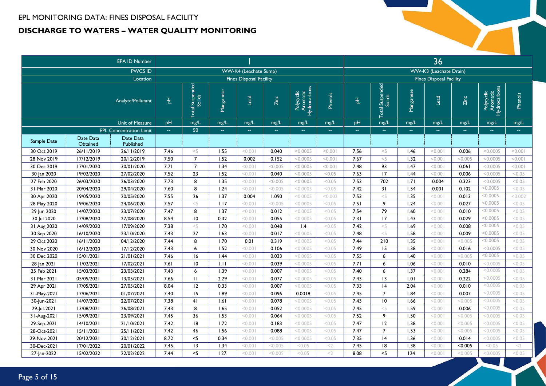#### EPL MONITORING DATA: FINES DISPOSAL FACILITY **DISCHARGE TO WATERS – WATER QUALITY MONITORING**

| <b>EPA ID Number</b><br>WW-K4 (Leachate Sump) |                       |                                |                                                              |                                |           |                                |         |                                        |         | 36            |                                |           |                                |               |                                        |                |  |
|-----------------------------------------------|-----------------------|--------------------------------|--------------------------------------------------------------|--------------------------------|-----------|--------------------------------|---------|----------------------------------------|---------|---------------|--------------------------------|-----------|--------------------------------|---------------|----------------------------------------|----------------|--|
|                                               |                       | <b>PWCS ID</b>                 |                                                              |                                |           |                                |         |                                        |         |               |                                |           | <b>WW-K3</b> (Leachate Drain)  |               |                                        |                |  |
|                                               |                       | Location                       |                                                              |                                |           | <b>Fines Disposal Facility</b> |         |                                        |         |               |                                |           | <b>Fines Disposal Facility</b> |               |                                        |                |  |
|                                               |                       | Analyte/Pollutant              | 玉                                                            | l Suspended<br>Solids<br>Total | Manganese | Lead                           | Zinc    | Polycyclic<br>Aromatic<br>Hydrocarbons | Phenols | 립             | l Suspended<br>Solids<br>Total | Manganese | bead                           | <b>Zinc</b>   | Hydrocarbons<br>Polycyclic<br>Aromatic | <b>Phenols</b> |  |
|                                               |                       | <b>Unit of Measure</b>         | pH                                                           | mg/L                           | mg/L      | mg/L                           | mg/L    | mg/L                                   | mg/L    | pH            | mg/L                           | mg/L      | mg/L                           | mg/L          | mg/L                                   | mg/L           |  |
|                                               |                       | <b>EPL Concentration Limit</b> | $\rightarrow$                                                | 50                             | 44        | $\rightarrow$                  | $\sim$  | $\rightarrow$                          | 44      | $\rightarrow$ | $\sim$                         | $\Box$    | $\Box$                         | $\rightarrow$ | $\mathbb{Z} \mathbb{Z}$                | 44             |  |
| Sample Date                                   | Date Data<br>Obtained | Date Data<br>Published         |                                                              |                                |           |                                |         |                                        |         |               |                                |           |                                |               |                                        |                |  |
| 30 Oct 2019                                   | 26/11/2019            | 26/11/2019                     | 7.46                                                         | $<$ 5                          | 1.55      | < 0.001                        | 0.040   | < 0.0005                               | < 0.001 | 7.56          | $<$ 5                          | 1.46      | < 0.001                        | 0.006         | < 0.0005                               | 100.00         |  |
| 28 Nov 2019                                   | 17/12/2019            | 20/12/2019                     | 7.50                                                         | $\overline{7}$                 | 1.52      | 0.002                          | 0.152   | < 0.0005                               | < 0.001 | 7.67          | $<$ 5                          | 1.32      | < 0.001                        | < 0.005       | < 0.0005                               | < 0.001        |  |
| 30 Dec 2019                                   | 17/01/2020            | 30/01/2020                     | 7.71                                                         | $\overline{7}$                 | 1.34      | < 0.001                        | < 0.005 | < 0.0005                               | < 0.001 | 7.48          | 93                             | 1.47      | < 0.001                        | 0.061         | < 0.0005                               | 100.00         |  |
| 30 Jan 2020                                   | 19/02/2020            | 27/02/2020                     | 7.52                                                         | 23                             | 1.52      | < 0.001                        | 0.040   | < 0.0005                               | < 0.05  | 7.63          | 17                             | 1.44      | < 0.001                        | 0.006         | < 0.0005                               | < 0.05         |  |
| 27 Feb 2020                                   | 26/03/2020            | 26/03/2020                     | 7.73                                                         | 8                              | 1.35      | < 0.001                        | < 0.005 | < 0.0005                               | < 0.05  | 7.53          | 702                            | 1.71      | 0.004                          | 0.323         | < 0.0005                               | < 0.05         |  |
| 31 Mar 2020                                   | 20/04/2020            | 29/04/2020                     | 7.60                                                         | 8                              | 1.24      | < 0.001                        | < 0.005 | < 0.0005                               | < 0.05  | 7.42          | 31                             | 1.54      | 0.001                          | 0.102         | < 0.0005                               | < 0.05         |  |
| 30 Apr 2020                                   | 19/05/2020            | 20/05/2020                     | 7.55                                                         | 26                             | 1.37      | 0.004                          | 1.090   | < 0.0005                               | < 0.002 | 7.53          | $<$ 5                          | 1.35      | < 0.001                        | 0.013         | < 0.0005                               | < 0.002        |  |
| 28 May 2020                                   | 19/06/2020            | 24/06/2020                     | 7.57                                                         | $<$ 5                          | 1.17      | < 0.001                        | < 0.005 | < 0.0005                               | < 0.05  | 7.51          | 9                              | 1.24      | < 0.001                        | 0.027         | < 0.0005                               | < 0.05         |  |
| 29 Jun 2020                                   | 14/07/2020            | 23/07/2020                     | 7.47                                                         | 8                              | 1.37      | < 0.001                        | 0.012   | < 0.0005                               | < 0.05  | 7.54          | 79                             | 1.60      | < 0.001                        | 0.010         | < 0.0005                               | < 0.05         |  |
| 30 Jul 2020                                   | 17/08/2020            | 27/08/2020                     | 8.54                                                         | 10                             | 0.32      | < 0.001                        | 0.055   | < 0.0005                               | < 0.05  | 7.31          | 17                             | 1.43      | < 0.001                        | 0.029         | < 0.0005                               | < 0.05         |  |
| 31 Aug 2020                                   | 14/09/2020            | 17/09/2020                     | 7.38                                                         | $<$ 5                          | 1.70      | < 0.001                        | 0.048   | 1.4                                    | < 0.05  | 7.42          | $<$ 5                          | 1.69      | < 0.001                        | 0.008         | < 0.0005                               | < 0.05         |  |
| 30 Sep 2020                                   | 16/10/2020            | 23/10/2020                     | 7.43                                                         | 27                             | 1.63      | < 0.001                        | 0.017   | < 0.0005                               | < 0.05  | 7.48          | $<$ 5                          | 1.58      | < 0.001                        | 0.009         | < 0.0005                               | < 0.05         |  |
| 29 Oct 2020                                   | 16/11/2020            | 04/12/2020                     | 7.44                                                         | 8                              | 1.70      | 0.01                           | 0.319   | < 0.0005                               | < 0.05  | 7.44          | 210                            | 1.35      | < 0.001                        | < 0.005       | < 0.0005                               | < 0.05         |  |
| 30 Nov 2020                                   | 16/12/2020            | 17/12/2020                     | 7.43                                                         | 6                              | 1.52      | < 0.001                        | 0.106   | < 0.0005                               | < 0.05  | 7.49          | 15                             | 1.38      | < 0.001                        | 0.016         | < 0.0005                               | < 0.05         |  |
| 30 Dec 2020                                   | 15/01/2021            | 21/01/2021                     | 7.46                                                         | 16                             | 1.44      | < 0.001                        | 0.033   | < 0.0005                               | < 0.05  | 7.55          | 6                              | 1.40      | < 0.001                        | < 0.005       | < 0.0005                               | < 0.05         |  |
| 28 Jan 2021                                   | 11/02/2021            | 17/02/2021                     | 7.61                                                         | 10                             | 1.11      | < 0.001                        | 0.039   | < 0.0005                               | < 0.05  | 7.71          | 6                              | 1.06      | < 0.001                        | 0.010         | < 0.0005                               | < 0.05         |  |
| 25 Feb 2021                                   | 15/03/2021            | 23/03/2021                     | 7.43                                                         | 6                              | 1.39      | < 0.001                        | 0.007   | < 0.0005                               | < 0.05  | 7.40          | 6                              | 1.37      | < 0.001                        | 0.284         | < 0.0005                               | < 0.05         |  |
| 31 Mar 2021                                   | 05/05/2021            | 13/05/2021                     | 7.66                                                         | $\mathbf{H}$                   | 2.29      | < 0.001                        | 0.077   | < 0.0005                               | < 0.05  | 7.43          | 13                             | 1.01      | < 0.001                        | 0.222         | < 0.0005                               | < 0.05         |  |
| 29 Apr 2021                                   | 17/05/2021            | 27/05/2021                     | 8.04                                                         | 12                             | 0.33      | < 0.001                        | 0.007   | < 0.0005                               | < 0.05  | 7.33          | 4                              | 2.04      | < 0.001                        | 0.010         | < 0.0005                               | < 0.05         |  |
| 31-May-2021                                   | 17/06/2021            | 01/07/2021                     | 7.40                                                         | 15                             | 1.89      | < 0.001                        | 0.096   | 0.0018                                 | < 0.05  | 7.45          | $\overline{7}$                 | 1.84      | < 0.001                        | 0.007         | < 0.0005                               | < 0.05         |  |
| 30-Jun-2021                                   | 14/07/2021            | 22/07/2021                     | 7.38                                                         | 41                             | 1.61      | < 0.001                        | 0.078   | < 0.0005                               | < 0.05  | 7.43          | $\overline{10}$                | 1.66      | < 0.001                        | < 0.005       | < 0.0005                               | < 0.05         |  |
| 29-Jul-2021                                   | 13/08/2021            | 26/08/2021                     | 7.43                                                         | 8                              | 1.65      | < 0.001                        | 0.052   | < 0.0005                               | < 0.05  | 7.45          | $<$ 5                          | 1.59      | < 0.001                        | 0.006         | < 0.0005                               | < 0.05         |  |
| 31-Aug-2021                                   | 15/09/2021            | 23/09/2021                     | 7.45<br>36<br>1.53<br>< 0.001<br>0.064<br>< 0.0005<br>< 0.05 |                                |           |                                |         |                                        |         | 7.52          | 9                              | 1.50      | < 0.001                        | < 0.005       | < 0.0005                               | < 0.05         |  |
| 29-Sep-2021                                   | 14/10/2021            | 21/10/2021                     | 7.42                                                         | 8                              | 1.72      | < 0.001                        | 0.183   | < 0.0005                               | < 0.05  | 7.47          | 12                             | 1.38      | < 0.001                        | < 0.005       | < 0.0005                               | < 0.05         |  |
| 28-Oct-2021                                   | 15/11/2021            | 25/11/2021                     | 7.42                                                         | 46                             | 1.56      | < 0.001                        | 0.088   | < 0.0005                               | < 0.05  | 7.47          | $\overline{7}$                 | 1.53      | < 0.001                        | < 0.005       | < 0.0005                               | < 0.05         |  |
| 29-Nov-2021                                   | 20/12/2021            | 30/12/2021                     | 8.72                                                         | $<$ 5                          | 0.34      | < 0.001                        | < 0.005 | < 0.0005                               | < 0.05  | 7.35          | 4                              | 1.36      | < 0.001                        | 0.014         | < 0.0005                               | < 0.05         |  |
| 30-Dec-2021                                   | 17/01/2022            | 20/01/2022                     | 7.45                                                         | 13                             | 1.34      | < 0.001                        | < 0.005 | < 0.05                                 | $<$ 2   | 7.45          | 18                             | 1.38      | < 0.001                        | < 0.005       | < 0.05                                 | $<$ 2          |  |
| 27-Jan-2022                                   | 15/02/2022            | 22/02/2022                     | 7.44                                                         | $\leq$                         | 127       | < 0.001                        | < 0.005 | < 0.05                                 | $<$ 2   | 8.08          | $<$ 5                          | 124       | < 0.001                        | < 0.005       | < 0.0005                               | < 0.05         |  |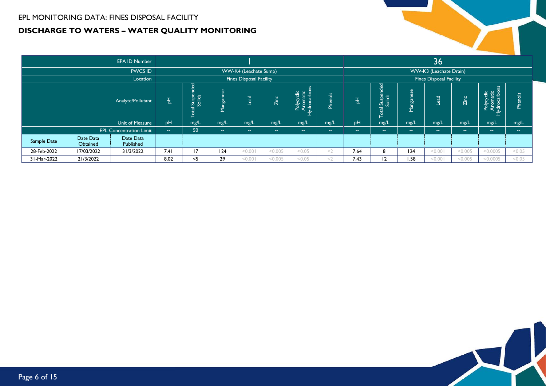### EPL MONITORING DATA: FINES DISPOSAL FACILITY **DISCHARGE TO WATERS – WATER QUALITY MONITORING**

|             |                        | <b>EPA ID Number</b>           |                                                                  |                          |                |                       |                |                                                                              |                |                     |                                                           |                    | 36                     |               |                                                    |                             |
|-------------|------------------------|--------------------------------|------------------------------------------------------------------|--------------------------|----------------|-----------------------|----------------|------------------------------------------------------------------------------|----------------|---------------------|-----------------------------------------------------------|--------------------|------------------------|---------------|----------------------------------------------------|-----------------------------|
|             |                        | <b>PWCS ID</b>                 |                                                                  |                          |                | WW-K4 (Leachate Sump) |                |                                                                              |                |                     |                                                           |                    | WW-K3 (Leachate Drain) |               |                                                    |                             |
|             |                        | Location                       | <b>Fines Disposal Facility</b><br><b>Fines Disposal Facility</b> |                          |                |                       |                |                                                                              |                |                     |                                                           |                    |                        |               |                                                    |                             |
|             |                        | Analyte/Pollutant              | 玉                                                                | ended<br>Suspe<br>Solids | Manganese      | ead                   | Zinc           | $\overline{a}$<br>cyclic<br>matic<br>carbor<br>Arong<br>Mong<br>Mong<br>Poly | <b>Phenols</b> | $\overline{ }$<br>뉨 | hded<br>$\overline{a}$<br>Suspe<br>Solids<br><b>Total</b> | ိမ်<br>Tangar<br>▃ | <b>DEB</b>             | <b>Zinc</b>   | $\frac{12}{10}$<br>م ا<br>ъ<br>$\frac{1}{2}$<br>ত. | $\frac{8}{5}$<br><b>A</b> e |
|             |                        | Unit of Measure                | pH                                                               | mg/L                     | mg/L           | mg/L                  | mg/L           | mg/L                                                                         | mg/L           | <sub>DH</sub>       | mg/L                                                      | mg/L               | mg/L                   | mg/L          | mg/L                                               | mg/L                        |
|             |                        | <b>EPL Concentration Limit</b> | $\sim$                                                           | 50                       | <b>Section</b> | $\sim$ $\sim$         | <b>Section</b> | $\sim$ $\sim$                                                                | $\sim$         | --                  | --                                                        | $\sim$ $\sim$      | <b>Section</b>         | $\sim$ $\sim$ | $\sim$ $\sim$                                      | <b>Service</b>              |
| Sample Date | Date Data<br>Published |                                |                                                                  |                          |                |                       |                |                                                                              |                |                     |                                                           |                    |                        |               |                                                    |                             |
| 28-Feb-2022 | 31/3/2022              | 7.41                           | 17                                                               | 124                      | < 0.001        | < 0.005               | < 0.05         | $<$ 2                                                                        | 7.64           | 8                   | 24                                                        | < 0.001            | < 0.005                | < 0.0005      | < 0.05                                             |                             |
| 31-Mar-2022 | 21/3/2022              |                                | 8.02                                                             | $<$ 5                    | 29             | 100.00                | < 0.005        | < 0.05                                                                       | $<$ 2          | 7.43                | 12                                                        | 1.58               | < 0.001                | < 0.005       | < 0.0005                                           | < 0.05                      |

 $\mathbf k$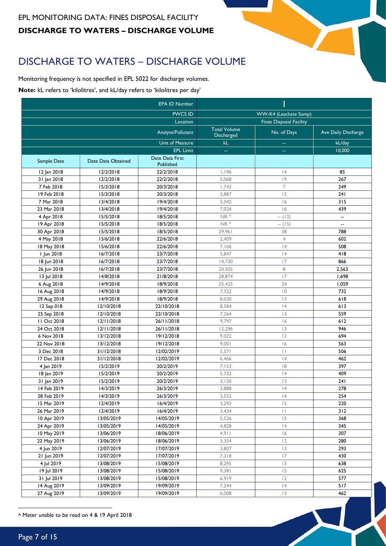# <span id="page-6-0"></span>DISCHARGE TO WATERS – DISCHARGE VOLUME

Monitoring frequency is not specified in EPL 5022 for discharge volumes.

**Note:** kL refers to 'kilolitres', and kL/day refers to 'kilolitres per day'

|             |                    | <b>EPA ID Number</b> |                                   |                                |                          |
|-------------|--------------------|----------------------|-----------------------------------|--------------------------------|--------------------------|
|             |                    | <b>PWCS ID</b>       |                                   | WW-K4 (Leachate Sump)          |                          |
|             |                    | Location             |                                   | <b>Fines Disposal Facility</b> |                          |
|             |                    | Analyte/Pollutant    | <b>Total Volume</b><br>Discharged | No. of Days                    | Ave Daily Discharge      |
|             |                    | Unit of Measure      | kL                                | 44                             | kL/day                   |
|             |                    | <b>EPL Limit</b>     | $\rightarrow$                     | 44                             | 10,000                   |
| Sample Date | Date Data Obtained | Date Data First      |                                   |                                |                          |
|             |                    | Published            | 1,196                             | 4                              | 85                       |
| 12 Jan 2018 | 12/2/2018          | 22/2/2018            |                                   | 9                              | 267                      |
| 31 Jan 2018 | 12/2/2018          | 22/2/2018            | 5,068                             | $\overline{7}$                 |                          |
| 7 Feb 2018  | 15/3/2018          | 20/3/2018            | 1,743                             |                                | 249                      |
| 19 Feb 2018 | 15/3/2018          | 20/3/2018            | 2,887                             | 12                             | 241                      |
| 7 Mar 2018  | 13/4/2018          | 19/4/2018            | 5,042                             | 16                             | 315                      |
| 23 Mar 2018 | 13/4/2018          | 19/4/2018            | 7,024                             | 6                              | 439                      |
| 4 Apr 2018  | 15/5/2018          | 18/5/2018            | NR <sup>A</sup>                   | $- (12)$                       | $\ddotsc$                |
| 19 Apr 2018 | 15/5/2018          | 18/5/2018            | NR <sup>B</sup>                   | $- (15)$                       | $\overline{\phantom{a}}$ |
| 30 Apr 2018 | 15/5/2018          | 18/5/2018            | 29,961                            | 38                             | 788                      |
| 4 May 2018  | 15/6/2018          | 22/6/2018            | 2,409                             | $\overline{4}$                 | 602                      |
| 18 May 2018 | 15/6/2018          | 22/6/2018            | 7,106                             | 4                              | 508                      |
| I Jun 2018  | 16/7/2018          | 23/7/2018            | 5,847                             | 4                              | 418                      |
| 18 Jun 2018 | 16/7/2018          | 23/7/2018            | 14,730                            | 17                             | 866                      |
| 26 Jun 2018 | 16/7/2018          | 23/7/2018            | 20,505                            | 8                              | 2,563                    |
| 13 Jul 2018 | 14/8/2018          | 21/8/2018            | 28,874                            | 17                             | 1,698                    |
| 6 Aug 2018  | 14/9/2018          | 18/9/2018            | 25,425                            | 24                             | 1,059                    |
| 16 Aug 2018 | 14/9/2018          | 18/9/2018            | 7,322                             | $\overline{0}$                 | 732                      |
| 29 Aug 2018 | 14/9/2018          | 18/9/2018            | 8,030                             | 3                              | 618                      |
| 12 Sep 018  | 12/10/2018         | 22/10/2018           | 8,584                             | 4                              | 613                      |
| 25 Sep 2018 | 12/10/2018         | 22/10/2018           | 7,264                             | 13                             | 559                      |
| 11 Oct 2018 | 12/11/2018         | 26/11/2018           | 9,797                             | 6                              | 612                      |
| 24 Oct 2018 | 12/11/2018         | 26/11/2018           | 12,296                            | 3                              | 946                      |
| 6 Nov 2018  | 13/12/2018         | 19/12/2018           | 9,022                             | 3                              | 694                      |
| 22 Nov 2018 | 13/12/2018         | 19/12/2018           | 9,001                             | 6                              | 563                      |
| 3 Dec 2018  | 31/12/2018         | 12/02/2019           | 5,571                             | П                              | 506                      |
| 17 Dec 2018 | 31/12/2018         | 12/02/2019           | 6,466                             | 4                              | 462                      |
| 4 Jan 2019  | 15/2/2019          | 20/2/2019            | 7,153                             | 8                              | 397                      |
| 18 Jan 2019 | 15/2/2019          | 20/2/2019            | 5,732                             | 4                              | 409                      |
| 31 Jan 2019 | 15/2/2019          | 20/2/2019            | 3,130                             | 3                              | 241                      |
| 14 Feb 2019 | 14/3/2019          | 26/3/2019            | 3.888                             | 4                              | 278                      |
| 28 Feb 2019 | 14/3/2019          | 26/3/2019            | 3,552                             | 4                              | 254                      |
| 15 Mar 2019 | 12/4/2019          | 16/4/2019            | 3,293                             | 15                             | 220                      |
| 26 Mar 2019 | 12/4/2019          | 16/4/2019            | 3,434                             | $\vert \ \vert$                | 312                      |
| 10 Apr 2019 | 13/05/2019         | 14/05/2019           | 5,526                             | 15                             | 368                      |
| 24 Apr 2019 | 13/05/2019         | 14/05/2019           | 4,828                             | 4                              | 345                      |
| 10 May 2019 | 13/06/2019         | 18/06/2019           | 4,911                             | 6                              | 307                      |
| 22 May 2019 | 13/06/2019         | 18/06/2019           | 3,354                             | 12                             | 280                      |
| 4 Jun 2019  | 12/07/2019         | 17/07/2019           | 3,807                             | 3                              | 293                      |
| 21 Jun 2019 | 12/07/2019         | 17/07/2019           | 7,318                             | 17                             | 430                      |
| 4 Jul 2019  | 13/08/2019         | 15/08/2019           | 8,295                             | 3                              | 638                      |
| 19 Jul 2019 | 13/08/2019         | 15/08/2019           | 9,381                             | 15                             | 625                      |
| 31 Jul 2019 | 13/08/2019         | 15/08/2019           | 6,919                             | 12                             | 577                      |
| 14 Aug 2019 | 13/09/2019         | 19/09/2019           | 7,244                             | 4                              | 517                      |
| 27 Aug 2019 | 13/09/2019         | 19/09/2019           | 6,008                             | 3                              | 462                      |

X

<sup>A</sup> Meter unable to be read on 4 & 19 April 2018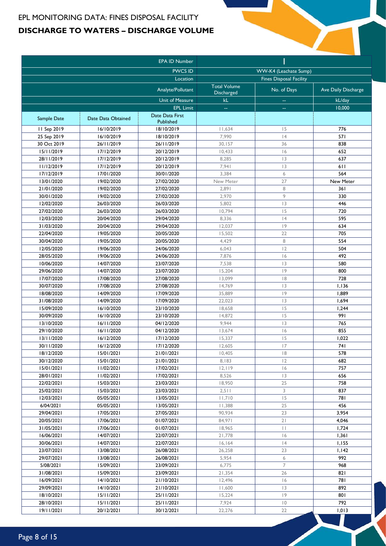#### EPL MONITORING DATA: FINES DISPOSAL FACILITY **DISCHARGE TO WATERS – DISCHARGE VOLUME**

|                          |                          | <b>EPA ID Number</b>     |                     |                                |                     |
|--------------------------|--------------------------|--------------------------|---------------------|--------------------------------|---------------------|
|                          |                          | <b>PWCS ID</b>           |                     | WW-K4 (Leachate Sump)          |                     |
|                          |                          | Location                 |                     | <b>Fines Disposal Facility</b> |                     |
|                          |                          | Analyte/Pollutant        | <b>Total Volume</b> | No. of Days                    | Ave Daily Discharge |
|                          |                          | Unit of Measure          | Discharged<br>kL    |                                | kL/day              |
|                          |                          | <b>EPL Limit</b>         | ۵.                  | --                             | 10,000              |
|                          | Date Data Obtained       | Date Data First          |                     |                                |                     |
| Sample Date              |                          | Published                |                     |                                |                     |
| 11 Sep 2019              | 16/10/2019               | 18/10/2019               | 11,634              | 15                             | 776                 |
| 25 Sep 2019              | 16/10/2019               | 18/10/2019               | 7,990               | 4                              | 571                 |
| 30 Oct 2019              | 26/11/2019               | 26/11/2019               | 30,157              | 36                             | 838                 |
| 15/11/2019               | 17/12/2019               | 20/12/2019               | 10,433              | 6                              | 652                 |
| 28/11/2019<br>11/12/2019 | 17/12/2019<br>17/12/2019 | 20/12/2019<br>20/12/2019 | 8,285<br>7,941      | 3                              | 637<br>611          |
|                          |                          |                          |                     | 3                              |                     |
| 17/12/2019               | 17/01/2020               | 30/01/2020               | 3,384               | 6                              | 564                 |
| 13/01/2020               | 19/02/2020               | 27/02/2020               | New Meter           | 27                             | New Meter           |
| 21/01/2020               | 19/02/2020               | 27/02/2020               | 2,891               | 8                              | 361                 |
| 30/01/2020               | 19/02/2020               | 27/02/2020               | 2,970               | 9                              | 330                 |
| 12/02/2020               | 26/03/2020               | 26/03/2020               | 5,802               | 3                              | 446                 |
| 27/02/2020               | 26/03/2020               | 26/03/2020               | 10,794              | 15                             | 720                 |
| 12/03/2020               | 20/04/2020               | 29/04/2020               | 8,336               | 4                              | 595                 |
| 31/03/2020               | 20/04/2020               | 29/04/2020               | 12,037              | 9                              | 634                 |
| 22/04/2020               | 19/05/2020               | 20/05/2020               | 15,502              | 22                             | 705                 |
| 30/04/2020               | 19/05/2020               | 20/05/2020               | 4,429               | 8                              | 554                 |
| 12/05/2020               | 19/06/2020               | 24/06/2020               | 6,043               | 2                              | 504                 |
| 28/05/2020               | 19/06/2020               | 24/06/2020               | 7,876               | 6                              | 492                 |
| 10/06/2020               | 14/07/2020               | 23/07/2020               | 7,538               | 3                              | 580                 |
| 29/06/2020               | 14/07/2020               | 23/07/2020               | 15,204              | 9                              | 800                 |
| 17/07/2020               | 17/08/2020               | 27/08/2020               | 13,099              | 8                              | 728                 |
| 30/07/2020               | 17/08/2020               | 27/08/2020               | 14,769              | 3                              | 1,136               |
| 18/08/2020               | 14/09/2020               | 17/09/2020               | 35,889              | 9                              | 1,889               |
| 31/08/2020               | 14/09/2020               | 17/09/2020               | 22,023              | 3                              | 1,694               |
| 15/09/2020               | 16/10/2020               | 23/10/2020               | 18,658              | 15                             | 1,244               |
| 30/09/2020               | 16/10/2020               | 23/10/2020               | 14,872              | 15                             | 991                 |
| 13/10/2020               | 16/11/2020               | 04/12/2020               | 9,944               | 3                              | 765                 |
| 29/10/2020               | 16/11/2020               | 04/12/2020               | 13,674              | 6                              | 855                 |
| 13/11/2020               | 16/12/2020               | 17/12/2020               | 15,337              | 15                             | 1,022               |
| 30/11/2020               | 16/12/2020               | 17/12/2020               | 12,605              | 17                             | 74 I                |
| 18/12/2020               | 15/01/2021               | 21/01/2021               | 10,405              | 8                              | 578                 |
| 30/12/2020               | 15/01/2021               | 21/01/2021               | 8,183               | 12                             | 682                 |
| 15/01/2021               | 11/02/2021               | 17/02/2021               | 12,119              | 6                              | 757                 |
| 28/01/2021               | 11/02/2021               | 17/02/2021               | 8,526               | 13                             | 656                 |
| 22/02/2021               | 15/03/2021               | 23/03/2021               | 18,950              | 25                             | 758                 |
| 25/02/2021               | 15/03/2021               | 23/03/2021               | 2,511               | 3                              | 837                 |
| 12/03/2021               | 05/05/2021               | 13/05/2021               | 11,710              | 15                             | 781                 |
| 6/04/2021                | 05/05/2021               | 13/05/2021               | 11,388              | 25                             | 456                 |
| 29/04/2021               | 17/05/2021               | 27/05/2021               | 90,934              | 23                             | 3,954               |
| 20/05/2021               | 17/06/2021               | 01/07/2021               | 84,971              | 21                             | 4,046               |
| 31/05/2021               | 17/06/2021               | 01/07/2021               | 18,965              | $\vert \ \vert$                | 1,724               |
| 16/06/2021               | 14/07/2021               | 22/07/2021               | 21,778              | 6                              | 1,361               |
| 30/06/2021               | 14/07/2021               | 22/07/2021               | 16, 164             | 4                              | 1,155               |
| 23/07/2021               | 13/08/2021               | 26/08/2021               | 26,258              | 23                             | 1,142               |
| 29/07/2021               | 13/08/2021               | 26/08/2021               | 5,954               | 6                              | 992                 |
| 5/08/2021                | 15/09/2021               | 23/09/2021               | 6,775               | $\overline{7}$                 | 968                 |
| 31/08/2021               | 15/09/2021               | 23/09/2021               | 21,354              | 26                             | 821                 |
| 16/09/2021               | 14/10/2021               | 21/10/2021               | 12,496              | 16                             | 781                 |
| 29/09/2021               | 14/10/2021               | 21/10/2021               | 11,600              | 3                              | 892                 |
| 18/10/2021               | 15/11/2021               | 25/11/2021               | 15,224              | 9                              | 801                 |
| 28/10/2021               | 15/11/2021               | 25/11/2021               | 7,924               | $\overline{10}$                | 792                 |
| 19/11/2021               | 20/12/2021               | 30/12/2021               | 22,276              | 22                             | 1,013               |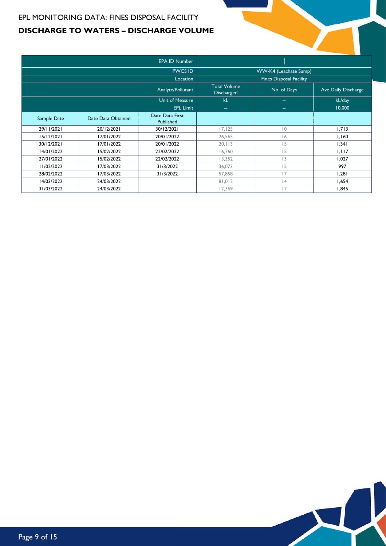#### EPL MONITORING DATA: FINES DISPOSAL FACILITY **DISCHARGE TO WATERS – DISCHARGE VOLUME**

|             |                    | <b>EPA ID Number</b>         |                                   |                                |                     |
|-------------|--------------------|------------------------------|-----------------------------------|--------------------------------|---------------------|
|             |                    | <b>PWCS ID</b>               |                                   | WW-K4 (Leachate Sump)          |                     |
|             |                    | Location                     |                                   | <b>Fines Disposal Facility</b> |                     |
|             |                    | Analyte/Pollutant            | <b>Total Volume</b><br>Discharged | No. of Days                    | Ave Daily Discharge |
|             |                    | <b>Unit of Measure</b>       | kL                                | $\sim$ $\sim$                  | kL/day              |
|             |                    | <b>EPL Limit</b>             | $\sim$ $\sim$                     | $\sim$                         | 10,000              |
| Sample Date | Date Data Obtained | Date Data First<br>Published |                                   |                                |                     |
| 29/11/2021  | 20/12/2021         | 30/12/2021                   | 17, 125                           | $ 0\rangle$                    | 1,713               |
| 15/12/2021  | 17/01/2022         | 20/01/2022                   | 26,565                            | 6                              | 1,160               |
| 30/12/2021  | 17/01/2022         | 20/01/2022                   | 20, 113                           | 15                             | 1,341               |
| 14/01/2022  | 15/02/2022         | 22/02/2022                   | 16,760                            | 15                             | 1,117               |
| 27/01/2022  | 15/02/2022         | 22/02/2022                   | 13,352                            | 3                              | 1,027               |
| 11/02/2022  | 17/03/2022         | 31/3/2022                    | 36,073                            | 15                             | 997                 |
| 28/02/2022  | 17/03/2022         | 31/3/2022                    | 57,858                            | 17                             | 1,281               |
| 14/03/2022  | 24/03/2022         |                              | 81,012                            | 14                             | 1,654               |
| 31/03/2022  | 24/03/2022         |                              | 12,369                            | 17                             | 1,845               |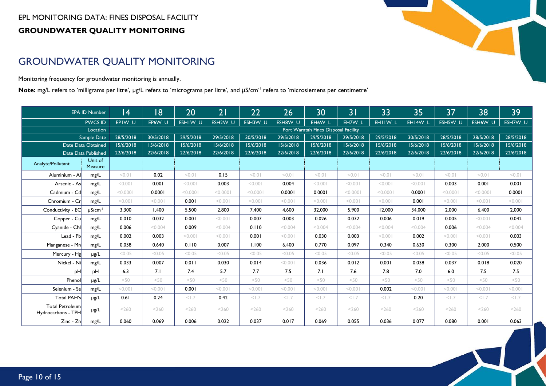## GROUNDWATER QUALITY MONITORING

Monitoring frequency for groundwater monitoring is annually.

Note: mg/L refers to 'milligrams per litre', μg/L refers to 'micrograms per litre', and μS/cm<sup>-1</sup> refers to 'microsiemens per centimetre'

<span id="page-9-0"></span>

|                                              | <b>EPA ID Number</b>     | 4         | 18        | 20        | 21        | 22             | 26        | 30                                   | 3 <sup>1</sup> | 33             | 35        | 37        | 38        | 39        |
|----------------------------------------------|--------------------------|-----------|-----------|-----------|-----------|----------------|-----------|--------------------------------------|----------------|----------------|-----------|-----------|-----------|-----------|
|                                              | <b>PWCS ID</b>           | EPIW U    | EP6W U    | ESHIW U   | ESH2W U   | ESH3W U        | ESH8W U   | EH6W L                               | EH7W L         | EHIIW L        | EHI4W L   | ESH5W U   | ESH6W U   | ESH7W_U   |
|                                              | Location                 |           |           |           |           |                |           | Port Waratah Fines Disposal Facility |                |                |           |           |           |           |
|                                              | Sample Date              | 28/5/2018 | 30/5/2018 | 29/5/2018 | 29/5/2018 | 30/5/2018      | 29/5/2018 | 29/5/2018                            | 29/5/2018      | 29/5/2018      | 30/5/2018 | 28/5/2018 | 28/5/2018 | 28/5/2018 |
|                                              | Date Data Obtained       | 15/6/2018 | 15/6/2018 | 15/6/2018 | 15/6/2018 | 15/6/2018      | 15/6/2018 | 15/6/2018                            | 15/6/2018      | 15/6/2018      | 15/6/2018 | 15/6/2018 | 15/6/2018 | 15/6/2018 |
|                                              | Date Data Published      | 22/6/2018 | 22/6/2018 | 22/6/2018 | 22/6/2018 | 22/6/2018      | 22/6/2018 | 22/6/2018                            | 22/6/2018      | 22/6/2018      | 22/6/2018 | 22/6/2018 | 22/6/2018 | 22/6/2018 |
| Analyte/Pollutant                            | Unit of<br>Measure       |           |           |           |           |                |           |                                      |                |                |           |           |           |           |
| Aluminium - Al                               | mg/L                     | 10.0      | 0.02      | 10.01     | 0.15      | 10.01          | < 0.01    | < 0.01                               | < 0.01         | < 0.01         | 10.01     | 10.01     | 10.01     | < 0.01    |
| Arsenic - As                                 | mg/L                     | < 0.001   | 0.001     | < 0.001   | 0.003     | < 0.001        | 0.004     | < 0.001                              | 100.00         | < 0.001        | 100.00    | 0.003     | 0.001     | 0.001     |
| Cadmium - Cd                                 | mg/L                     | < 0.0001  | 0.0001    | < 0.0001  | < 0.0001  | < 0.0001       | 0.0001    | 0.0001                               | < 0.0001       | < 0.0001       | 0.0001    | < 0.0001  | < 0.0001  | 0.0001    |
| Chromium - Cr                                | mg/L                     | < 0.001   | < 0.001   | 0.001     | < 0.001   | < 0.001        | 100.00    | < 0.001                              | 100.00         | < 0.001        | 0.001     | < 0.001   | 100.00    | < 0.001   |
| Conductivity - EC                            | $\mu$ S/cm <sup>-1</sup> | 3.300     | 1.400     | 5.500     | 2.800     | 7.400          | 4.600     | 32.000                               | 5.900          | 12,000         | 34.000    | 2.000     | 6.400     | 2,000     |
| Copper - Cu                                  | mg/L                     | 0.010     | 0.032     | 0.001     | < 0.001   | 0.007          | 0.003     | 0.026                                | 0.032          | 0.006          | 0.019     | 0.005     | 100.00    | 0.042     |
| Cyanide - CN                                 | mg/L                     | 0.006     | < 0.004   | 0.009     | < 0.004   | 0.110          | < 0.004   | < 0.004                              | < 0.004        | < 0.004        | < 0.004   | 0.006     | < 0.004   | < 0.004   |
| Lead - Pb                                    | mg/L                     | 0.002     | 0.003     | < 0.001   | < 0.001   | 0.001          | 100.00    | 0.030                                | 0.003          | 100.00         | 0.002     | < 0.001   | 100.00    | 0.003     |
| Manganese - Mn                               | mg/L                     | 0.058     | 0.640     | 0.110     | 0.007     | 1.100          | 6.400     | 0.770                                | 0.097          | 0.340          | 0.630     | 0.300     | 2.000     | 0.500     |
| Mercury - Hg                                 | $\mu$ g/L                | < 0.05    | < 0.05    | < 0.05    | < 0.05    | < 0.05         | < 0.05    | < 0.05                               | < 0.05         | < 0.05         | < 0.05    | < 0.05    | < 0.05    | < 0.05    |
| Nickel - Ni                                  | mg/L                     | 0.033     | 0.007     | 0.011     | 0.030     | 0.014          | 100.00    | 0.036                                | 0.012          | 0.001          | 0.038     | 0.037     | 0.018     | 0.020     |
| pH                                           | pH                       | 6.3       | 7.1       | 7.4       | 5.7       | 7.7            | 7.5       | 7.1                                  | 7.6            | 7.8            | 7.0       | 6.0       | 7.5       | 7.5       |
| Phenol                                       | $\mu$ g/L                | < 50      | <50       | <50       | $<$ 50    | $<$ 50         | <50       | $<$ 50                               | $<$ 50         | $<$ 50         | $<$ 50    | $<$ 50    | $<$ 50    | $<$ 50    |
| Selenium - Se                                | mg/L                     | < 0.001   | < 0.001   | 0.001     | < 0.001   | < 0.001        | < 0.001   | < 0.001                              | 100.00         | 0.002          | 100.00    | < 0.001   | 100.00    | < 0.001   |
| Total PAH's                                  | µg/L                     | 0.61      | 0.24      | < 1.7     | 0.42      | $<$ $\vert .7$ | < 1.7     | $<$ $\vert$ .7                       | $<$ $\vert .7$ | $<$ $\vert$ .7 | 0.20      | < 1.7     | 1.7       | < 1.7     |
| <b>Total Petroleum</b><br>Hydrocarbons - TPH | µg/L                     | < 260     | < 260     | < 260     | < 260     | < 260          | < 260     | < 260                                | < 260          | < 260          | < 260     | < 260     | < 260     | < 260     |
| Zinc - Zn                                    | mg/L                     | 0.060     | 0.069     | 0.006     | 0.022     | 0.037          | 0.017     | 0.069                                | 0.055          | 0.036          | 0.077     | 0.080     | 0.001     | 0.063     |



 $\overline{\mathcal{M}}$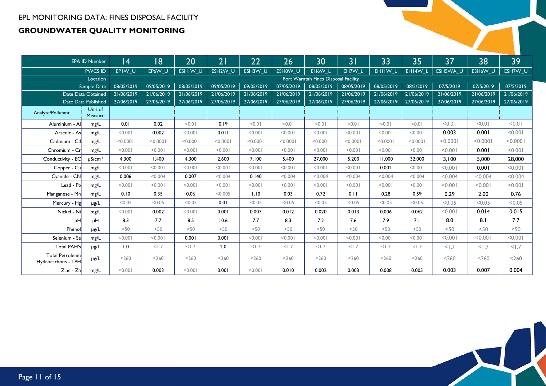|                                              | <b>EPA ID Number</b>     | 4          | 18         | 20         | 21         | 22         | 26         | 30                                   | 31         | 33         | 35         | 37         | 38         | 39         |
|----------------------------------------------|--------------------------|------------|------------|------------|------------|------------|------------|--------------------------------------|------------|------------|------------|------------|------------|------------|
|                                              | <b>PWCS ID</b>           | EPIW U     | EP6W U     | ESHIW U    | ESH2W U    | ESH3W U    | ESH8W U    | EH6W L                               | EH7W L     | EHIIW L    | EHI4W L    | ESH5WA U   | ESH6W U    | ESH7W U    |
|                                              | Location                 |            |            |            |            |            |            | Port Waratah Fines Disposal Facility |            |            |            |            |            |            |
|                                              | Sample Date              | 08/05/2019 | 09/05/2019 | 08/05/2019 | 09/05/2019 | 09/05/2019 | 07/05/2019 | 08/05/2019                           | 08/05/2019 | 08/05/2019 | 08/5/2019  | 07/5/2019  | 07/5/2019  | 07/5/2019  |
|                                              | Date Data Obtained       | 21/06/2019 | 21/06/2019 | 21/06/2019 | 21/06/2019 | 21/06/2019 | 21/06/2019 | 21/06/2019                           | 21/06/2019 | 21/06/2019 | 21/06/2019 | 21/06/2019 | 21/06/2019 | 21/06/2019 |
|                                              | Date Data Published      | 27/06/2019 | 27/06/2019 | 27/06/2019 | 27/06/2019 | 27/06/2019 | 27/06/2019 | 27/06/2019                           | 27/06/2019 | 27/06/2019 | 27/06/2019 | 27/06/2019 | 27/06/2019 | 27/06/2019 |
| Analyte/Pollutant                            | Unit of<br>Measure       |            |            |            |            |            |            |                                      |            |            |            |            |            |            |
| Aluminium - Al                               | mg/L                     | 0.01       | 0.02       | 10.01      | 0.19       | 10.0       | 10.01      | 10.01                                | < 0.01     | < 0.01     | < 0.01     | < 0.01     | < 0.01     | < 0.01     |
| Arsenic - As                                 | mg/L                     | < 0.001    | 0.002      | < 0.001    | 0.011      | < 0.001    | < 0.001    | < 0.001                              | < 0.001    | < 0.001    | < 0.001    | 0.003      | 0.001      | < 0.001    |
| Cadmium - Cd                                 | mg/L                     | < 0.0001   | < 0.0001   | < 0.0001   | < 0.0001   | < 0.0001   | < 0.0001   | < 0.0001                             | < 0.0001   | < 0.0001   | < 0.0001   | < 0.0001   | < 0.000    | < 0.0001   |
| Chromium - Cr                                | mg/L                     | < 0.001    | < 0.001    | < 0.001    | < 0.001    | < 0.001    | < 0.001    | < 0.001                              | < 0.001    | < 0.001    | < 0.001    | < 0.001    | 0.001      | < 0.001    |
| Conductivity - EC                            | $\mu$ S/cm <sup>-1</sup> | 4.300      | 1.400      | 4.300      | 2.600      | 7.100      | 5.400      | 27,000                               | 5.200      | 11.000     | 32,000     | 3,100      | 5,000      | 28,000     |
| Copper - Cu                                  | mg/L                     | < 0.001    | < 0.001    | < 0.001    | < 0.001    | < 0.001    | < 0.001    | < 0.001                              | < 0.001    | 0.002      | < 0.001    | < 0.001    | 0.001      | < 0.001    |
| Cyanide - CN                                 | mg/L                     | 0.006      | < 0.004    | 0.007      | < 0.004    | 0.140      | < 0.004    | < 0.004                              | < 0.004    | < 0.004    | < 0.004    | < 0.004    | < 0.004    | < 0.004    |
| Lead - Pb                                    | mg/L                     | < 0.001    | < 0.001    | < 0.001    | < 0.001    | < 0.001    | < 0.001    | < 0.001                              | < 0.001    | < 0.001    | < 0.001    | < 0.001    | < 0.001    | < 0.001    |
| Manganese - Mn                               | mg/L                     | 0.10       | 0.35       | 0.06       | < 0.005    | 1.10       | 0.03       | 0.72                                 | 0.11       | 0.28       | 0.59       | 0.29       | 2.00       | 0.76       |
| Mercury - Hg                                 | $\mu$ g/L                | < 0.05     | < 0.05     | < 0.05     | 0.01       | < 0.05     | < 0.05     | < 0.05                               | < 0.05     | < 0.05     | < 0.05     | < 0.05     | < 0.05     | < 0.05     |
| Nickel - Ni                                  | mg/L                     | < 0.001    | 0.002      | < 0.001    | 0.001      | 0.007      | 0.012      | 0.020                                | 0.013      | 0.006      | 0.062      | < 0.001    | 0.014      | 0.015      |
| pH                                           | pH                       | 8.3        | 7.7        | 8.5        | 10.6       | 7.7        | 8.3        | 7.2                                  | 7.6        | 7.9        | 7.1        | 8.0        | 8.1        | 7.7        |
| Phenol                                       | $\mu$ g/L                | <50        | < 50       | <50        | $<$ 50     | $<$ 50     | <50        | $<$ 50                               | $<$ 50     | < 50       | $<$ 50     | < 50       | <50        | $<$ 50     |
| Selenium - Se                                | mg/L                     | < 0.001    | < 0.001    | 0.001      | 0.001      | < 0.001    | < 0.001    | < 0.001                              | < 0.001    | < 0.001    | < 0.001    | < 0.001    | < 0.001    | < 0.001    |
| <b>Total PAH's</b>                           | µg/L                     | 1.0        | < 1.7      | < 1.7      | 2.0        | < 1.7      | < 1.7      | < 1.7                                | < 1.7      | < 1.7      | < 1.7      | < 1.7      | < 1.7      | < 1.7      |
| <b>Total Petroleum</b><br>Hydrocarbons - TPH | µg/L                     | < 260      | < 260      | < 260      | < 260      | < 260      | < 260      | < 260                                | < 260      | < 260      | < 260      | < 260      | $<$ 260    | $<$ 260    |
| Zinc - Zn                                    | mg/L                     | < 0.001    | 0.003      | < 0.001    | 0.001      | < 0.001    | 0.010      | 0.002                                | 0.003      | 0.008      | 0.005      | 0.003      | 0.007      | 0.004      |

 $\blacktriangle\downarrow$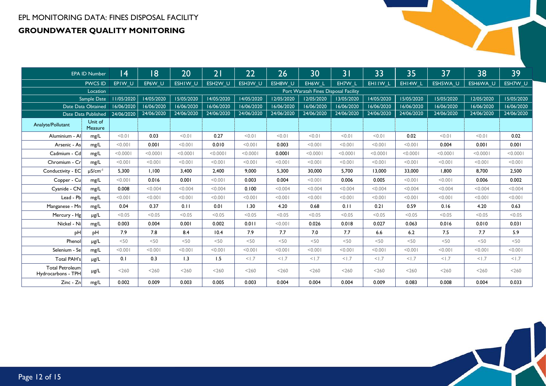|                                              | <b>EPA ID Number</b>     | 4          | 18         | 20         | 21         | 22         | 26         | 30                                   | 3 <sub>1</sub> | 33         | 35         | 37         | 38         | 39         |
|----------------------------------------------|--------------------------|------------|------------|------------|------------|------------|------------|--------------------------------------|----------------|------------|------------|------------|------------|------------|
|                                              | <b>PWCS ID</b>           | EPIW U     | EP6W U     | ESHIW U    | ESH2W U    | ESH3W U    | ESH8W U    | EH6W L                               | EH7W L         | EHIIW L    | EHI4W L    | ESH5WA U   | ESH6WA U   | ESH7W U    |
|                                              | Location                 |            |            |            |            |            |            | Port Waratah Fines Disposal Facility |                |            |            |            |            |            |
|                                              | Sample Date              | 11/05/2020 | 14/05/2020 | 15/05/2020 | 14/05/2020 | 14/05/2020 | 12/05/2020 | 12/05/2020                           | 13/05/2020     | 14/05/2020 | 15/05/2020 | 15/05/2020 | 12/05/2020 | 15/05/2020 |
|                                              | Date Data Obtained       | 16/06/2020 | 16/06/2020 | 16/06/2020 | 16/06/2020 | 16/06/2020 | 16/06/2020 | 16/06/2020                           | 16/06/2020     | 16/06/2020 | 16/06/2020 | 16/06/2020 | 16/06/2020 | 16/06/2020 |
|                                              | Date Data Published      | 24/06/2020 | 24/06/2020 | 24/06/2020 | 24/06/2020 | 24/06/2020 | 24/06/2020 | 24/06/2020                           | 24/06/2020     | 24/06/2020 | 24/06/2020 | 24/06/2020 | 24/06/2020 | 24/06/2020 |
| Analyte/Pollutant                            | Unit of<br>Measure       |            |            |            |            |            |            |                                      |                |            |            |            |            |            |
| Aluminium - Al                               | mg/L                     | < 0.01     | 0.03       | < 0.01     | 0.27       | < 0.01     | < 0.01     | < 0.01                               | < 0.01         | 10.0       | 0.02       | < 0.01     | 10.0       | 0.02       |
| Arsenic - As                                 | mg/L                     | < 0.001    | 0.001      | 100.00     | 0.010      | < 0.001    | 0.003      | 100.00                               | 100.00         | < 0.001    | < 0.001    | 0.004      | 0.001      | 0.001      |
| Cadmium - Cd                                 | mg/L                     | < 0.0001   | < 0.0001   | < 0.0001   | < 0.0001   | < 0.0001   | 0.0001     | < 0.0001                             | < 0.0001       | < 0.0001   | < 0.0001   | < 0.0001   | 10000      | < 0.0001   |
| Chromium - Cr                                | mg/L                     | < 0.001    | 100.00     | 100.00     | < 0.001    | < 0.001    | < 0.001    | 100.00                               | 100.00         | < 0.001    | < 0.001    | < 0.001    | < 0.001    | < 0.001    |
| Conductivity - EC                            | $\mu$ S/cm <sup>-1</sup> | 5.300      | 1.100      | 3,400      | 2,400      | 9.000      | 5,300      | 30,000                               | 5.700          | 13,000     | 33,000     | 1,800      | 8,700      | 2,500      |
| Copper - Cu                                  | mg/L                     | < 0.001    | 0.016      | 0.001      | < 0.001    | 0.003      | 0.004      | 100.00                               | 0.006          | 0.005      | < 0.001    | < 0.001    | 0.006      | 0.002      |
| Cyanide - CN                                 | mg/L                     | 0.008      | < 0.004    | < 0.004    | < 0.004    | 0.100      | < 0.004    | < 0.004                              | < 0.004        | < 0.004    | < 0.004    | < 0.004    | < 0.004    | < 0.004    |
| Lead - Pb                                    | mg/L                     | < 0.001    | 100.00     | < 0.001    | < 0.001    | < 0.001    | < 0.001    | 100.00                               | < 0.001        | < 0.001    | < 0.001    | < 0.001    | < 0.001    | < 0.001    |
| Manganese - Mn                               | mg/L                     | 0.04       | 0.37       | 0.11       | 0.01       | 1.30       | 4.20       | 0.68                                 | 0.11           | 0.21       | 0.59       | 0.16       | 4.20       | 0.63       |
| Mercury - Hg                                 | $\mu$ g/L                | < 0.05     | < 0.05     | < 0.05     | < 0.05     | < 0.05     | < 0.05     | < 0.05                               | < 0.05         | < 0.05     | < 0.05     | < 0.05     | < 0.05     | < 0.05     |
| Nickel - Ni                                  | mg/L                     | 0.003      | 0.004      | 0.001      | 0.002      | 0.011      | < 0.001    | 0.026                                | 0.018          | 0.027      | 0.063      | 0.016      | 0.010      | 0.031      |
| pH                                           | pH                       | 7.9        | 7.8        | 8.4        | 10.4       | 7.9        | 7.7        | 7.0                                  | 7.7            | 6.6        | 6.2        | 7.5        | 7.7        | 5.9        |
| Phenol                                       | $\mu$ g/L                | <50        | $<$ 50     | $<$ 50     | $<$ 50     | $<$ 50     | <50        | $<$ 50                               | <50            | <50        | < 50       | <50        | < 50       | $<$ 50     |
| Selenium - Se                                | mg/L                     | < 0.001    | < 0.001    | 100.00     | < 0.001    | < 0.001    | < 0.001    | 100.00                               | < 0.001        | < 0.001    | < 0.001    | < 0.001    | < 0.001    | < 0.001    |
| <b>Total PAH's</b>                           | µg/L                     | 0.1        | 0.3        | 1.3        | 1.5        | < 1.7      | < 1.7      | <1.7                                 | < 1.7          | < 1.7      | < 1.7      | < 1.7      | < 1.7      | < 1.7      |
| <b>Total Petroleum</b><br>Hydrocarbons - TPH | µg/L                     | < 260      | < 260      | < 260      | < 260      | < 260      | < 260      | < 260                                | < 260          | < 260      | < 260      | < 260      | < 260      | < 260      |
| Zinc - Zn                                    | mg/L                     | 0.002      | 0.009      | 0.003      | 0.005      | 0.003      | 0.004      | 0.004                                | 0.004          | 0.009      | 0.083      | 0.008      | 0.004      | 0.033      |

Page 12 of 15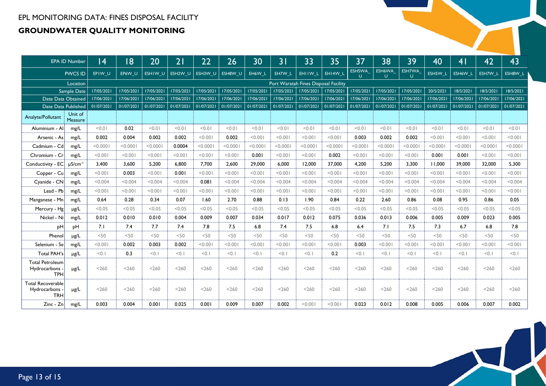|                                                        | EPA ID Number            | 4          | 18         | 20         | 21         | 22         | 26         | 30         | 31         | 33         | 35                                   | 37          | 38          | 39          | 40         | 41         | 42         | 43         |
|--------------------------------------------------------|--------------------------|------------|------------|------------|------------|------------|------------|------------|------------|------------|--------------------------------------|-------------|-------------|-------------|------------|------------|------------|------------|
|                                                        | <b>PWCS ID</b>           | EPIW U     | EP6W U     | ESHIW U    | ESH2W U    | ESH3W U    | ESH8W U    | EH6W L     | EH7W L     | EHIIW L    | EHI4W L                              | ESH5WA<br>U | ESH6WA<br>U | ESH7WA<br>U | ESH5W_L    | ESH6W L    | ESH7W L    | ESH8W L    |
|                                                        | Location                 |            |            |            |            |            |            |            |            |            | Port Waratah Fines Disposal Facility |             |             |             |            |            |            |            |
|                                                        | Sample Date              | 17/05/2021 | 17/05/2021 | 17/05/2021 | 17/05/2021 | 17/05/2021 | 17/05/2021 | 17/05/2021 | 17/05/2021 | 17/05/2021 | 17/05/2021                           | 17/05/2021  | 17/05/2021  | 17/05/2021  | 20/5/2021  | 18/5/2021  | 18/5/2021  | 18/5/2021  |
|                                                        | Date Data Obtained       | 17/06/2021 | 17/06/2021 | 17/06/2021 | 17/06/2021 | 17/06/2021 | 17/06/2021 | 17/06/2021 | 17/06/2021 | 17/06/2021 | 17/06/2021                           | 17/06/2021  | 17/06/2021  | 17/06/2021  | 17/06/2021 | 17/06/2021 | 17/06/2021 | 17/06/2021 |
|                                                        | Date Data Published      | 01/07/2021 | 01/07/2021 | 01/07/2021 | 01/07/2021 | 01/07/2021 | 01/07/2021 | 01/07/2021 | 01/07/2021 | 01/07/2021 | 01/07/2021                           | 01/07/2021  | 01/07/2021  | 01/07/2021  | 01/07/2021 | 01/07/2021 | 01/07/2021 | 01/07/2021 |
| Analyte/Pollutant                                      | Unit of<br>Measure       |            |            |            |            |            |            |            |            |            |                                      |             |             |             |            |            |            |            |
| Aluminium - All                                        | mg/L                     | < 0.01     | 0.02       | < 0.01     | < 0.01     | < 0.01     | 10.0       | < 0.01     | < 0.01     | < 0.01     | 10.01                                | < 0.01      | < 0.01      | < 0.01      | < 0.01     | 10.0       | < 0.01     | < 0.01     |
| Arsenic - As                                           | mg/L                     | 0.002      | 0.004      | 0.002      | 0.002      | < 0.001    | 0.002      | < 0.001    | < 0.001    | < 0.001    | < 0.001                              | 0.003       | 0.002       | 0.002       | < 0.001    | < 0.001    | < 0.001    | < 0.001    |
| Cadmium - Cd                                           | mg/L                     | < 0.0001   | < 0.0001   | < 0.0001   | 0.0004     | < 0.0001   | < 0.0001   | < 0.0001   | < 0.000    | < 0.0001   | < 0.0001                             | < 0.0001    | < 0.000     | < 0.0001    | < 0.0001   | < 0.0001   | < 0.0001   | < 0.0001   |
| Chromium - Cr                                          | mg/L                     | < 0.001    | < 0.001    | < 0.001    | < 0.001    | < 0.001    | < 0.001    | 0.001      | < 0.001    | < 0.001    | 0.002                                | 100.00      | < 0.001     | 100.00      | 0.001      | 0.001      | < 0.001    | < 0.001    |
| Conductivity - EC                                      | $\mu$ S/cm <sup>-1</sup> | 3,400      | 3,600      | 5,200      | 6,800      | 7.700      | 2,600      | 29,000     | 6.000      | 12.000     | 37,000                               | 4,200       | 5,200       | 3,300       | 11,000     | 39,000     | 32,000     | 5,300      |
| Copper - Cu                                            | mg/L                     | < 0.001    | 0.003      | < 0.001    | 0.001      | < 0.001    | < 0.001    | < 0.001    | < 0.001    | < 0.001    | < 0.001                              | < 0.001     | < 0.001     | < 0.001     | < 0.001    | < 0.001    | < 0.001    | < 0.001    |
| Cyanide - CN                                           | mg/L                     | < 0.004    | < 0.004    | < 0.004    | < 0.004    | 0.081      | < 0.004    | < 0.004    | < 0.004    | < 0.004    | < 0.004                              | < 0.004     | < 0.004     | < 0.004     | < 0.004    | < 0.004    | < 0.004    | < 0.004    |
| $Lead - Pb$                                            | mg/L                     | < 0.001    | < 0.001    | < 0.001    | < 0.001    | < 0.001    | < 0.001    | < 0.001    | < 0.001    | < 0.001    | < 0.001                              | < 0.001     | < 0.001     | < 0.001     | < 0.001    | < 0.001    | < 0.001    | < 0.001    |
| Manganese - Mn                                         | mg/L                     | 0.64       | 0.28       | 0.34       | 0.07       | 1.60       | 2.70       | 0.88       | 0.13       | 1.90       | 0.84                                 | 0.22        | 2.60        | 0.86        | 0.08       | 0.95       | 0.86       | 0.05       |
| Mercury - Hg                                           | $\mu$ g/L                | < 0.05     | < 0.05     | < 0.05     | < 0.05     | < 0.05     | < 0.05     | < 0.05     | < 0.05     | < 0.05     | < 0.05                               | < 0.05      | < 0.05      | < 0.05      | < 0.05     | < 0.05     | < 0.05     | < 0.05     |
| Nickel - Ni                                            | mg/L                     | 0.012      | 0.010      | 0.010      | 0.004      | 0.009      | 0.007      | 0.034      | 0.017      | 0.012      | 0.075                                | 0.036       | 0.013       | 0.006       | 0.005      | 0.009      | 0.023      | 0.005      |
| pH                                                     | pH                       | 7.1        | 7.4        | 7.7        | 7.4        | 7.8        | 7.5        | 6.8        | 7.4        | 7.5        | 6.8                                  | 6.4         | 7.1         | 7.5         | 7.3        | 6.7        | 6.8        | 7.8        |
| Phenol                                                 | $\mu$ g/L                | <50        | <50        | <50        | <50        | <50        | < 50       | <50        | <50        | < 50       | < 50                                 | < 50        | <50         | $<$ 50      | <50        | 50<        | < 50       | < 50       |
| Selenium - Se                                          | mg/L                     | < 0.001    | 0.002      | 0.003      | 0.002      | < 0.001    | < 0.001    | < 0.001    | < 0.001    | < 0.001    | < 0.001                              | 0.003       | < 0.001     | 100.00      | < 0.001    | < 0.001    | < 0.001    | < 0.001    |
| Total PAH's                                            | $\mu$ g/L                | < 0.1      | 0.3        | < 0.1      | < 0.1      | < 0.1      | < 0.1      | < 0.1      | < 0.1      | < 0.1      | 0.2                                  | < 0.1       | < 0.1       | < 0.1       | < 0.1      | < 0.1      | < 0.1      | < 0.1      |
| <b>Total Petroleum</b><br>Hydrocarbons -<br><b>TPH</b> | $\mu$ g/L                | < 260      | < 260      | < 260      | < 260      | < 260      | < 260      | < 260      | < 260      | < 260      | < 260                                | < 260       | < 260       | < 260       | < 260      | < 260      | < 260      | < 260      |
| Total Recoverable<br>Hydrocarbons -<br><b>TRH</b>      | $\mu$ g/L                | < 260      | < 260      | < 260      | < 260      | < 260      | < 260      | < 260      | < 260      | < 260      | < 260                                | < 260       | < 260       | < 260       | < 260      | < 260      | < 260      | < 260      |
| $Zinc - Zn$                                            | mg/L                     | 0.003      | 0.004      | 0.001      | 0.025      | 0.001      | 0.009      | 0.007      | 0.002      | < 0.001    | < 0.001                              | 0.023       | 0.012       | 0.008       | 0.005      | 0.006      | 0.007      | 0.002      |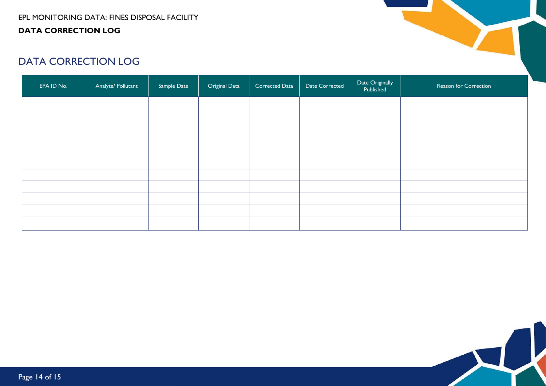

# DATA CORRECTION LOG

<span id="page-13-0"></span>

| EPA ID No. | Analyte/ Pollutant | Sample Date | Original Data | Corrected Data | Date Corrected | Date Originally<br>Published | Reason for Correction |
|------------|--------------------|-------------|---------------|----------------|----------------|------------------------------|-----------------------|
|            |                    |             |               |                |                |                              |                       |
|            |                    |             |               |                |                |                              |                       |
|            |                    |             |               |                |                |                              |                       |
|            |                    |             |               |                |                |                              |                       |
|            |                    |             |               |                |                |                              |                       |
|            |                    |             |               |                |                |                              |                       |
|            |                    |             |               |                |                |                              |                       |
|            |                    |             |               |                |                |                              |                       |
|            |                    |             |               |                |                |                              |                       |
|            |                    |             |               |                |                |                              |                       |
|            |                    |             |               |                |                |                              |                       |